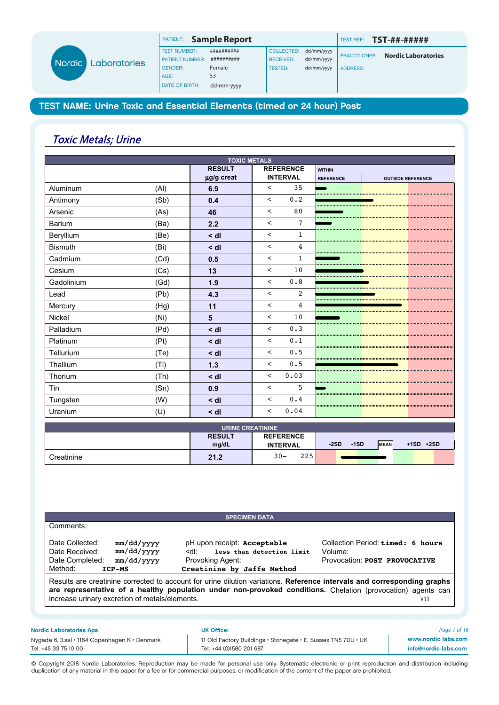|                      |      | PATIENT:               | <b>Sample Report</b> |                  |            | <b>TEST REF:</b>     | TST-##-#####               |
|----------------------|------|------------------------|----------------------|------------------|------------|----------------------|----------------------------|
|                      |      | <b>TEST NUMBER:</b>    | ##########           | COLLECTED:       | dd/mm/yyyy |                      | <b>Nordic Laboratories</b> |
| dic:<br>Laboratories |      | <b>PATIENT NUMBER:</b> | ##########           | <b>RECEIVED:</b> | dd/mm/yyyy | <b>PRACTITIONER:</b> |                            |
|                      |      | <b>GENDER:</b>         | Female               | <b>TESTED:</b>   | dd/mm/yyyy | <b>ADDRESS:</b>      |                            |
|                      | AGE: | 53                     |                      |                  |            |                      |                            |
|                      |      | <b>DATE OF BIRTH:</b>  | dd-mm-yyyy           |                  |            |                      |                            |

# Toxic Metals; Urine

**No** 

|                |      | <b>TOXIC METALS</b> |                          |                |                  |                          |
|----------------|------|---------------------|--------------------------|----------------|------------------|--------------------------|
|                |      | <b>RESULT</b>       | <b>REFERENCE</b>         |                | <b>WITHIN</b>    |                          |
|                |      | µg/g creat          | <b>INTERVAL</b>          |                | <b>REFERENCE</b> | <b>OUTSIDE REFERENCE</b> |
| Aluminum       | (AI) | 6.9                 | $\,<\,$                  | 35             |                  |                          |
| Antimony       | (Sb) | 0.4                 | $\,<$                    | 0.2            |                  |                          |
| Arsenic        | (As) | 46                  | $\overline{\phantom{a}}$ | 80             |                  |                          |
| Barium         | (Ba) | 2.2                 | $\overline{\phantom{a}}$ | $\overline{7}$ |                  |                          |
| Beryllium      | (Be) | $<$ dl              | $\prec$                  | $\mathbf{1}$   |                  |                          |
| <b>Bismuth</b> | (Bi) | $<$ dl              | $\,<\,$                  | 4              |                  |                          |
| Cadmium        | (Cd) | 0.5                 | $\overline{\phantom{a}}$ | $\mathbf{1}$   |                  |                          |
| Cesium         | (Cs) | 13                  | $\overline{\phantom{a}}$ | 10             |                  |                          |
| Gadolinium     | (Gd) | 1.9                 | $\prec$                  | 0.8            |                  |                          |
| Lead           | (Pb) | 4.3                 | $\lt$                    | 2              |                  |                          |
| Mercury        | (Hg) | 11                  | $\lt$                    | 4              |                  |                          |
| Nickel         | (Ni) | 5                   | $\lt$                    | 10             |                  |                          |
| Palladium      | (Pd) | $<$ dl              | $\prec$                  | 0.3            |                  |                          |
| Platinum       | (Pt) | $<$ dl              | $\overline{\phantom{a}}$ | 0.1            |                  |                          |
| Tellurium      | (Te) | $<$ dl              | $\prec$                  | 0.5            |                  |                          |
| Thallium       | (TI) | $1.3$               | $\,<\,$                  | 0.5            |                  |                          |
| Thorium        | (Th) | $<$ dl              | $\prec$                  | 0.03           |                  |                          |
| Tin            | (Sn) | 0.9                 | $\,<$                    | 5              |                  |                          |
| Tungsten       | (W)  | $<$ dl              | $\lt$                    | 0.4            |                  |                          |
| Uranium        | (U)  | $\leq$ dl           | $\prec$                  | 0.04           |                  |                          |

| <b>URINE CREATININE</b> |                        |                                     |                                                |  |  |  |  |  |
|-------------------------|------------------------|-------------------------------------|------------------------------------------------|--|--|--|--|--|
|                         | <b>RESULT</b><br>mg/dL | <b>REFERENCE</b><br><b>INTERVAL</b> | <b>MEAN</b><br>$+1SD +2SD$<br>$-2SD$<br>$-1SD$ |  |  |  |  |  |
| Creatinine              | 21.2                   | 225<br>$30 -$                       |                                                |  |  |  |  |  |

|                                                                                                                     | <b>SPECIMEN DATA</b>                                                                                                                                                                                                                    |                                                                               |     |
|---------------------------------------------------------------------------------------------------------------------|-----------------------------------------------------------------------------------------------------------------------------------------------------------------------------------------------------------------------------------------|-------------------------------------------------------------------------------|-----|
| Comments:                                                                                                           |                                                                                                                                                                                                                                         |                                                                               |     |
| Date Collected:<br>mm/dd/yyyy<br>mm/dd/yyyy<br>Date Received:<br>Date Completed:<br>mm/dd/yyyy<br>Method:<br>ICP-MS | pH upon receipt: Acceptable<br>less than detection limit<br><ql∶<br>Provoking Agent:<br/>Creatinine by Jaffe Method</ql∶<br>                                                                                                            | Collection Period: timed: 6 hours<br>Volume:<br>Provocation: POST PROVOCATIVE |     |
|                                                                                                                     | Results are creatinine corrected to account for urine dilution variations. Reference intervals and corresponding graphs<br>are representative of a healthy population under non-provoked conditions. Chelation (provocation) agents can |                                                                               |     |
| increase urinary excretion of metals/elements.                                                                      |                                                                                                                                                                                                                                         |                                                                               | V13 |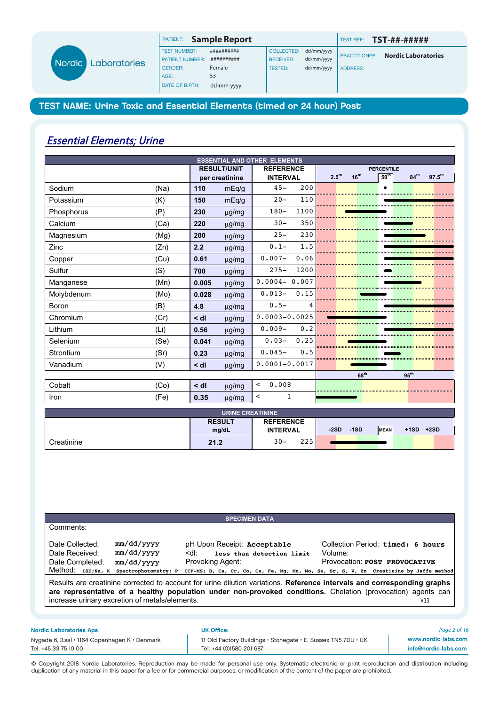|                               |                     | PATIENT:               | <b>Sample Report</b> |                  |            | TEST REF:            | <b>TST-##-#####</b>        |
|-------------------------------|---------------------|------------------------|----------------------|------------------|------------|----------------------|----------------------------|
| <b>Nordic</b><br>Laboratories | <b>TEST NUMBER:</b> | ##########             | <b>COLLECTED:</b>    | dd/mm/yyyy       |            |                      |                            |
|                               |                     | <b>PATIENT NUMBER:</b> | ##########           | <b>RECEIVED:</b> | dd/mm/yyyy | <b>PRACTITIONER:</b> | <b>Nordic Laboratories</b> |
|                               |                     | <b>GENDER:</b>         | Female               | TESTED:          | dd/mm/yyyy | <b>ADDRESS:</b>      |                            |
|                               |                     | AGE:                   | 53                   |                  |            |                      |                            |
|                               |                     | <b>DATE OF BIRTH:</b>  | dd-mm-yyyy           |                  |            |                      |                            |

# Essential Elements; Urine

| <b>ESSENTIAL AND OTHER ELEMENTS</b> |      |           |                    |                   |      |                   |                  |                   |                  |             |
|-------------------------------------|------|-----------|--------------------|-------------------|------|-------------------|------------------|-------------------|------------------|-------------|
|                                     |      |           | <b>RESULT/UNIT</b> | <b>REFERENCE</b>  |      |                   |                  | <b>PERCENTILE</b> |                  |             |
|                                     |      |           | per creatinine     | <b>INTERVAL</b>   |      | 2.5 <sup>th</sup> | 16 <sup>th</sup> | 50 <sup>th</sup>  | 84 <sup>th</sup> | $97.5^{th}$ |
| Sodium                              | (Na) | 110       | mEq/g              | $45 -$            | 200  |                   |                  |                   |                  |             |
| Potassium                           | (K)  | 150       | mEq/g              | $20 -$            | 110  |                   |                  |                   |                  |             |
| Phosphorus                          | (P)  | 230       | $\mu$ g/mg         | $180 -$           | 1100 |                   |                  |                   |                  |             |
| Calcium                             | (Ca) | 220       | $\mu$ g/mg         | $30 -$            | 350  |                   |                  |                   |                  |             |
| Magnesium                           | (Mg) | 200       | $\mu$ g/mg         | $25 -$            | 230  |                   |                  |                   |                  |             |
| Zinc                                | (Zn) | 2.2       | $\mu$ g/mg         | $0.1 -$           | 1.5  |                   |                  |                   |                  |             |
| Copper                              | (Cu) | 0.61      | $\mu$ g/mg         | $0.007 -$         | 0.06 |                   |                  |                   |                  |             |
| Sulfur                              | (S)  | 700       | $\mu$ g/mg         | $275 -$           | 1200 |                   |                  |                   |                  |             |
| Manganese                           | (Mn) | 0.005     | $\mu$ g/mg         | $0.0004 - 0.007$  |      |                   |                  |                   |                  |             |
| Molybdenum                          | (Mo) | 0.028     | $\mu$ g/mg         | $0.013-$          | 0.15 |                   |                  |                   |                  |             |
| <b>Boron</b>                        | (B)  | 4.8       | µg/mg              | $0.5 -$           | 4    |                   |                  |                   |                  |             |
| Chromium                            | (Cr) | $\leq$ dl | $\mu$ g/mg         | $0.0003 - 0.0025$ |      |                   |                  |                   |                  |             |
| Lithium                             | (Li) | 0.56      | $\mu$ g/mg         | $0.009 -$         | 0.2  |                   |                  |                   |                  |             |
| Selenium                            | (Se) | 0.041     | $\mu$ g/mg         | $0.03 -$          | 0.25 |                   |                  |                   |                  |             |
| Strontium                           | (Sr) | 0.23      | $\mu$ g/mg         | $0.045-$          | 0.5  |                   |                  |                   |                  |             |
| Vanadium                            | (V)  | $\leq$ dl | $\mu$ g/mg         | $0.0001 - 0.0017$ |      |                   |                  |                   |                  |             |
|                                     |      |           |                    |                   |      |                   | 68 <sup>th</sup> |                   | 95 <sup>th</sup> |             |
| Cobalt                              | (Co) | $\leq$ dl | $\mu$ g/mg         | 0.008<br>$\lt$    |      |                   |                  |                   |                  |             |
| Iron                                | (Fe) | 0.35      | $\mu$ g/mg         | 1<br>$\,<\,$      |      |                   |                  |                   |                  |             |

| <b>URINE CREATININE</b> |                        |                                     |                                                |  |  |  |  |  |
|-------------------------|------------------------|-------------------------------------|------------------------------------------------|--|--|--|--|--|
|                         | <b>RESULT</b><br>mg/dL | <b>REFERENCE</b><br><b>INTERVAL</b> | <b>MEAN</b><br>$-1SD$<br>$+1SD +2SD$<br>$-2SD$ |  |  |  |  |  |
| Creatinine              | 21.2                   | 225<br>$30 -$                       |                                                |  |  |  |  |  |

| Comments:          |                      |                                                                                                                                                                                                                                         |                                   |
|--------------------|----------------------|-----------------------------------------------------------------------------------------------------------------------------------------------------------------------------------------------------------------------------------------|-----------------------------------|
| Date Collected:    | mm/dd/yyyy           | pH Upon Receipt: Acceptable                                                                                                                                                                                                             | Collection Period: timed: 6 hours |
| Date Received:     | mm/dd/yyyy           | less than detection limit<br>≺q∣.                                                                                                                                                                                                       | Volume:                           |
| Date Completed:    | mm/dd/yyyy           | Provoking Agent:                                                                                                                                                                                                                        | Provocation: POST PROVOCATIVE     |
| Method: ISE; Na, K | Spectrophotometry; P | ICP-MS; B, Ca, Cr, Co, Cu, Fe, Mg, Mn, Mo, Se, Sr, S, V, Zn Creatinine by Jaffe method                                                                                                                                                  |                                   |
|                    |                      | Results are creatinine corrected to account for urine dilution variations. Reference intervals and corresponding graphs<br>are representative of a healthy population under non-provoked conditions. Chelation (provocation) agents can |                                   |

Nygade 6, 3.sal • 1164 Copenhagen K • Denmark 11 Old Factory Buildings • Stonegate • E. Sussex TN5 7DU • UK Tel: +45 33 75 10 00 Tel: +44 (0)1580 201 687

*Page 2 of 16* www.nordic-labs.com info@nordic-labs.com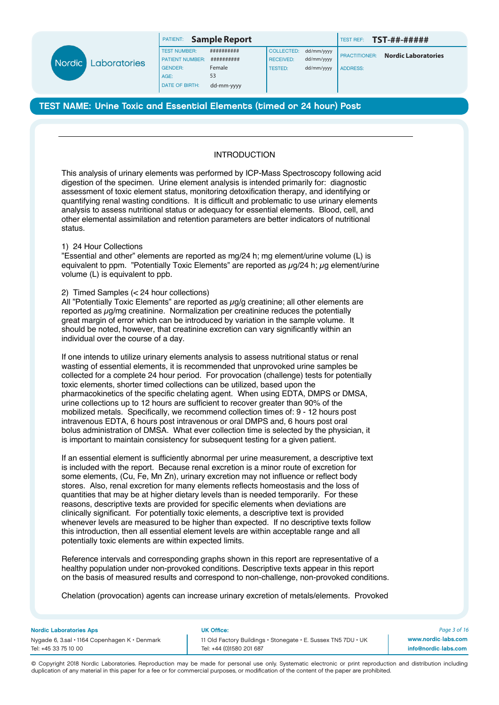

| <b>ATIENT:</b> | Sample Report |  |  |
|----------------|---------------|--|--|
|----------------|---------------|--|--|

TEST NUMBER: ########### COLLECTED: dd/mm/yyyy

PATIENT: **Sample Report** TEST REF: **TST-##-#####**

ADDRESS:

PRACTITIONER: **Nordic Laboratories**

TEST NAME: Urine Toxic and Essential Elements (timed or 24 hour) Post

# INTRODUCTION

This analysis of urinary elements was performed by ICP-Mass Spectroscopy following acid digestion of the specimen. Urine element analysis is intended primarily for: diagnostic assessment of toxic element status, monitoring detoxification therapy, and identifying or quantifying renal wasting conditions. It is difficult and problematic to use urinary elements analysis to assess nutritional status or adequacy for essential elements. Blood, cell, and other elemental assimilation and retention parameters are better indicators of nutritional status.

### 1) 24 Hour Collections

"Essential and other" elements are reported as mg/24 h; mg element/urine volume (L) is equivalent to ppm. "Potentially Toxic Elements" are reported as  $\mu q/24$  h;  $\mu q$  element/urine volume (L) is equivalent to ppb.

## 2) Timed Samples (< 24 hour collections)

All "Potentially Toxic Elements" are reported as  $\mu$ g/g creatinine; all other elements are reported as  $\mu$ g/mg creatinine. Normalization per creatinine reduces the potentially great margin of error which can be introduced by variation in the sample volume. It should be noted, however, that creatinine excretion can vary significantly within an individual over the course of a day.

If one intends to utilize urinary elements analysis to assess nutritional status or renal wasting of essential elements, it is recommended that unprovoked urine samples be collected for a complete 24 hour period. For provocation (challenge) tests for potentially toxic elements, shorter timed collections can be utilized, based upon the pharmacokinetics of the specific chelating agent. When using EDTA, DMPS or DMSA, urine collections up to 12 hours are sufficient to recover greater than 90% of the mobilized metals. Specifically, we recommend collection times of: 9 - 12 hours post intravenous EDTA, 6 hours post intravenous or oral DMPS and, 6 hours post oral bolus administration of DMSA. What ever collection time is selected by the physician, it is important to maintain consistency for subsequent testing for a given patient.

If an essential element is sufficiently abnormal per urine measurement, a descriptive text is included with the report. Because renal excretion is a minor route of excretion for some elements, (Cu, Fe, Mn Zn), urinary excretion may not influence or reflect body stores. Also, renal excretion for many elements reflects homeostasis and the loss of quantities that may be at higher dietary levels than is needed temporarily. For these reasons, descriptive texts are provided for specific elements when deviations are clinically significant. For potentially toxic elements, a descriptive text is provided whenever levels are measured to be higher than expected. If no descriptive texts follow this introduction, then all essential element levels are within acceptable range and all potentially toxic elements are within expected limits.

Reference intervals and corresponding graphs shown in this report are representative of a healthy population under non-provoked conditions. Descriptive texts appear in this report on the basis of measured results and correspond to non-challenge, non-provoked conditions.

Chelation (provocation) agents can increase urinary excretion of metals/elements. Provoked

#### Nordic Laboratories Aps UK Office:

Tel: +45 33 75 10 00 Tel: +44 (0)1580 201 687

Nygade 6, 3.sal • 1164 Copenhagen K • Denmark 11 Old Factory Buildings • Stonegate • E. Sussex TN5 7DU • UK

*Page 3 of 16* www.nordic-labs.com info@nordic-labs.com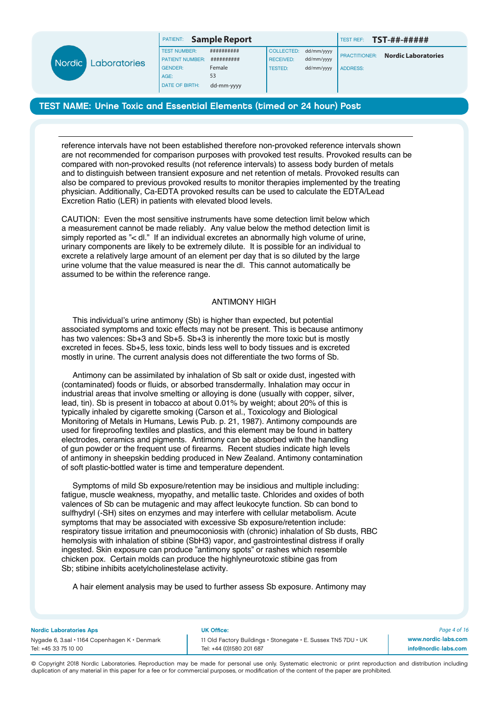

| PATIENT: | <b>Sample Report</b> |  |  |
|----------|----------------------|--|--|
|----------|----------------------|--|--|

TEST NUMBER: ########### COLLECTED: dd/mm/yyyy

PATIENT: **Sample Report** TEST REF: **TST-##-#####**

PRACTITIONER: **Nordic Laboratories** ADDRESS:

# TEST NAME: Urine Toxic and Essential Elements (timed or 24 hour) Post

reference intervals have not been established therefore non-provoked reference intervals shown are not recommended for comparison purposes with provoked test results. Provoked results can be compared with non-provoked results (not reference intervals) to assess body burden of metals and to distinguish between transient exposure and net retention of metals. Provoked results can also be compared to previous provoked results to monitor therapies implemented by the treating physician. Additionally, Ca-EDTA provoked results can be used to calculate the EDTA/Lead Excretion Ratio (LER) in patients with elevated blood levels.

CAUTION: Even the most sensitive instruments have some detection limit below which a measurement cannot be made reliably. Any value below the method detection limit is simply reported as "< dl." If an individual excretes an abnormally high volume of urine, urinary components are likely to be extremely dilute. It is possible for an individual to excrete a relatively large amount of an element per day that is so diluted by the large urine volume that the value measured is near the dl. This cannot automatically be assumed to be within the reference range.

#### ANTIMONY HIGH

 This individual's urine antimony (Sb) is higher than expected, but potential associated symptoms and toxic effects may not be present. This is because antimony has two valences: Sb+3 and Sb+5. Sb+3 is inherently the more toxic but is mostly excreted in feces. Sb+5, less toxic, binds less well to body tissues and is excreted mostly in urine. The current analysis does not differentiate the two forms of Sb.

 Antimony can be assimilated by inhalation of Sb salt or oxide dust, ingested with (contaminated) foods or fluids, or absorbed transdermally. Inhalation may occur in industrial areas that involve smelting or alloying is done (usually with copper, silver, lead, tin). Sb is present in tobacco at about 0.01% by weight; about 20% of this is typically inhaled by cigarette smoking (Carson et al., Toxicology and Biological Monitoring of Metals in Humans, Lewis Pub. p. 21, 1987). Antimony compounds are used for fireproofing textiles and plastics, and this element may be found in battery electrodes, ceramics and pigments. Antimony can be absorbed with the handling of gun powder or the frequent use of firearms. Recent studies indicate high levels of antimony in sheepskin bedding produced in New Zealand. Antimony contamination of soft plastic-bottled water is time and temperature dependent.

 Symptoms of mild Sb exposure/retention may be insidious and multiple including: fatigue, muscle weakness, myopathy, and metallic taste. Chlorides and oxides of both valences of Sb can be mutagenic and may affect leukocyte function. Sb can bond to sulfhydryl (-SH) sites on enzymes and may interfere with cellular metabolism. Acute symptoms that may be associated with excessive Sb exposure/retention include: respiratory tissue irritation and pneumoconiosis with (chronic) inhalation of Sb dusts, RBC hemolysis with inhalation of stibine (SbH3) vapor, and gastrointestinal distress if orally ingested. Skin exposure can produce "antimony spots" or rashes which resemble chicken pox. Certain molds can produce the highlyneurotoxic stibine gas from Sb; stibine inhibits acetylcholinestelase activity.

A hair element analysis may be used to further assess Sb exposure. Antimony may

#### Nordic Laboratories Aps UK Office:

Tel: +45 33 75 10 00 Tel: +44 (0)1580 201 687

Nygade 6, 3.sal • 1164 Copenhagen K • Denmark 11 Old Factory Buildings • Stonegate • E. Sussex TN5 7DU • UK

*Page 4 of 16* www.nordic-labs.com info@nordic-labs.com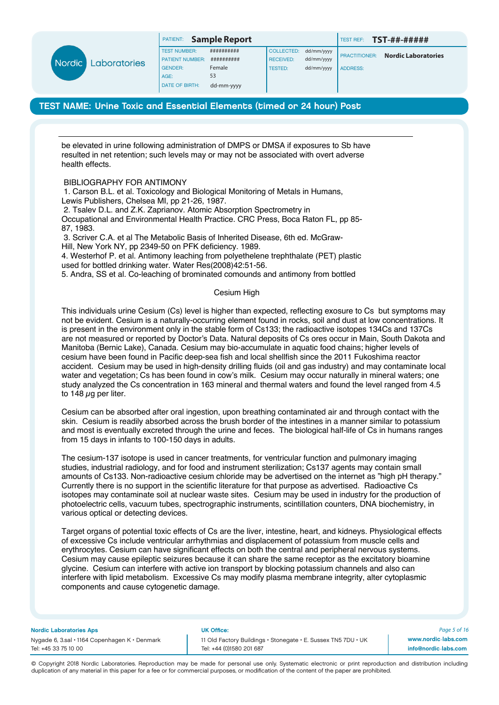|      |                     | PATIENT:               | <b>Sample Report</b> |                   |            | <b>TEST REF:</b>     | TST-##-#####               |
|------|---------------------|------------------------|----------------------|-------------------|------------|----------------------|----------------------------|
|      |                     | <b>TEST NUMBER:</b>    | ##########           | <b>COLLECTED:</b> | dd/mm/yyyy |                      |                            |
| rdic | <b>Laboratories</b> | <b>PATIENT NUMBER:</b> | ##########           | <b>RECEIVED:</b>  | dd/mm/yyyy | <b>PRACTITIONER:</b> | <b>Nordic Laboratories</b> |
|      |                     | <b>GENDER:</b>         | Female               | <b>TESTED:</b>    | dd/mm/yyyy | <b>ADDRESS:</b>      |                            |
|      |                     | AGE:                   | 53                   |                   |            |                      |                            |
|      |                     | <b>DATE OF BIRTH:</b>  | dd-mm-yyyy           |                   |            |                      |                            |

be elevated in urine following administration of DMPS or DMSA if exposures to Sb have resulted in net retention; such levels may or may not be associated with overt adverse health effects.

### BIBLIOGRAPHY FOR ANTIMONY

1. Carson B.L. et al. Toxicology and Biological Monitoring of Metals in Humans, Lewis Publishers, Chelsea MI, pp 21-26, 1987. 2. Tsalev D.L. and Z.K. Zaprianov. Atomic Absorption Spectrometry in

Occupational and Environmental Health Practice. CRC Press, Boca Raton FL, pp 85- 87, 1983.

3. Scriver C.A. et al The Metabolic Basis of Inherited Disease, 6th ed. McGraw-Hill, New York NY, pp 2349-50 on PFK deficiency. 1989. 4. Westerhof P. et al. Antimony leaching from polyethelene trephthalate (PET) plastic used for bottled drinking water. Water Res(2008)42:51-56. 5. Andra, SS et al. Co-leaching of brominated comounds and antimony from bottled

#### Cesium High

This individuals urine Cesium (Cs) level is higher than expected, reflecting exosure to Cs but symptoms may not be evident. Cesium is a naturally-occurring element found in rocks, soil and dust at low concentrations. It is present in the environment only in the stable form of Cs133; the radioactive isotopes 134Cs and 137Cs are not measured or reported by Doctor's Data. Natural deposits of Cs ores occur in Main, South Dakota and Manitoba (Bernic Lake), Canada. Cesium may bio-accumulate in aquatic food chains; higher levels of cesium have been found in Pacific deep-sea fish and local shellfish since the 2011 Fukoshima reactor accident. Cesium may be used in high-density drilling fluids (oil and gas industry) and may contaminate local water and vegetation; Cs has been found in cow's milk. Cesium may occur naturally in mineral waters; one study analyzed the Cs concentration in 163 mineral and thermal waters and found the level ranged from 4.5 to 148  $\mu$ g per liter.

Cesium can be absorbed after oral ingestion, upon breathing contaminated air and through contact with the skin. Cesium is readily absorbed across the brush border of the intestines in a manner similar to potassium and most is eventually excreted through the urine and feces. The biological half-life of Cs in humans ranges from 15 days in infants to 100-150 days in adults.

The cesium-137 isotope is used in cancer treatments, for ventricular function and pulmonary imaging studies, industrial radiology, and for food and instrument sterilization; Cs137 agents may contain small amounts of Cs133. Non-radioactive cesium chloride may be advertised on the internet as "high pH therapy." Currently there is no support in the scientific literature for that purpose as advertised. Radioactive Cs isotopes may contaminate soil at nuclear waste sites. Cesium may be used in industry for the production of photoelectric cells, vacuum tubes, spectrographic instruments, scintillation counters, DNA biochemistry, in various optical or detecting devices.

Target organs of potential toxic effects of Cs are the liver, intestine, heart, and kidneys. Physiological effects of excessive Cs include ventricular arrhythmias and displacement of potassium from muscle cells and erythrocytes. Cesium can have significant effects on both the central and peripheral nervous systems. Cesium may cause epileptic seizures because it can share the same receptor as the excitatory bioamine glycine. Cesium can interfere with active ion transport by blocking potassium channels and also can interfere with lipid metabolism. Excessive Cs may modify plasma membrane integrity, alter cytoplasmic components and cause cytogenetic damage.

#### Nordic Laboratories Aps UK Office:

Tel: +45 33 75 10 00 Tel: +44 (0)1580 201 687

Nygade 6, 3.sal • 1164 Copenhagen K • Denmark 11 Old Factory Buildings • Stonegate • E. Sussex TN5 7DU • UK

*Page 5 of 16* www.nordic-labs.com info@nordic-labs.com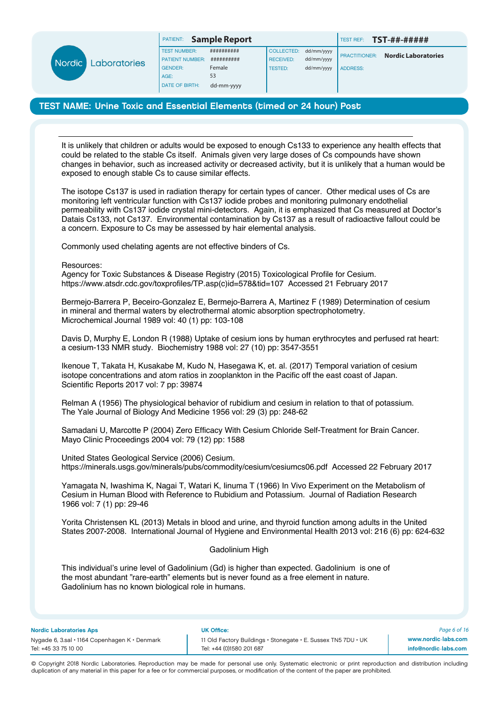

| PATIENT:      |  | <b>Sample Repor</b> |  |
|---------------|--|---------------------|--|
| ------------- |  |                     |  |

# TEST NAME: Urine Toxic and Essential Elements (timed or 24 hour) Post

AGE: 53 DATE OF BIRTH: dd-mm-yyyy

It is unlikely that children or adults would be exposed to enough Cs133 to experience any health effects that could be related to the stable Cs itself. Animals given very large doses of Cs compounds have shown changes in behavior, such as increased activity or decreased activity, but it is unlikely that a human would be exposed to enough stable Cs to cause similar effects.

The isotope Cs137 is used in radiation therapy for certain types of cancer. Other medical uses of Cs are monitoring left ventricular function with Cs137 iodide probes and monitoring pulmonary endothelial permeability with Cs137 iodide crystal mini-detectors. Again, it is emphasized that Cs measured at Doctor's Datais Cs133, not Cs137. Environmental contamination by Cs137 as a result of radioactive fallout could be a concern. Exposure to Cs may be assessed by hair elemental analysis.

Commonly used chelating agents are not effective binders of Cs.

Resources:

Agency for Toxic Substances & Disease Registry (2015) Toxicological Profile for Cesium. https://www.atsdr.cdc.gov/toxprofiles/TP.asp(c)id=578&tid=107 Accessed 21 February 2017

Bermejo-Barrera P, Beceiro-Gonzalez E, Bermejo-Barrera A, Martinez F (1989) Determination of cesium in mineral and thermal waters by electrothermal atomic absorption spectrophotometry. Microchemical Journal 1989 vol: 40 (1) pp: 103-108

Davis D, Murphy E, London R (1988) Uptake of cesium ions by human erythrocytes and perfused rat heart: a cesium-133 NMR study. Biochemistry 1988 vol: 27 (10) pp: 3547-3551

Ikenoue T, Takata H, Kusakabe M, Kudo N, Hasegawa K, et. al. (2017) Temporal variation of cesium isotope concentrations and atom ratios in zooplankton in the Pacific off the east coast of Japan. Scientific Reports 2017 vol: 7 pp: 39874

Relman A (1956) The physiological behavior of rubidium and cesium in relation to that of potassium. The Yale Journal of Biology And Medicine 1956 vol: 29 (3) pp: 248-62

Samadani U, Marcotte P (2004) Zero Efficacy With Cesium Chloride Self-Treatment for Brain Cancer. Mayo Clinic Proceedings 2004 vol: 79 (12) pp: 1588

United States Geological Service (2006) Cesium. https://minerals.usgs.gov/minerals/pubs/commodity/cesium/cesiumcs06.pdf Accessed 22 February 2017

Yamagata N, Iwashima K, Nagai T, Watari K, Iinuma T (1966) In Vivo Experiment on the Metabolism of Cesium in Human Blood with Reference to Rubidium and Potassium. Journal of Radiation Research 1966 vol: 7 (1) pp: 29-46

Yorita Christensen KL (2013) Metals in blood and urine, and thyroid function among adults in the United States 2007-2008. International Journal of Hygiene and Environmental Health 2013 vol: 216 (6) pp: 624-632

# Gadolinium High

This individual's urine level of Gadolinium (Gd) is higher than expected. Gadolinium is one of the most abundant "rare-earth" elements but is never found as a free element in nature. Gadolinium has no known biological role in humans.

Nordic Laboratories Aps UK Office:

Nygade 6, 3.sal • 1164 Copenhagen K • Denmark 11 Old Factory Buildings • Stonegate • E. Sussex TN5 7DU • UK Tel: +45 33 75 10 00 Tel: +44 (0)1580 201 687

*Page 6 of 16* www.nordic-labs.com info@nordic-labs.com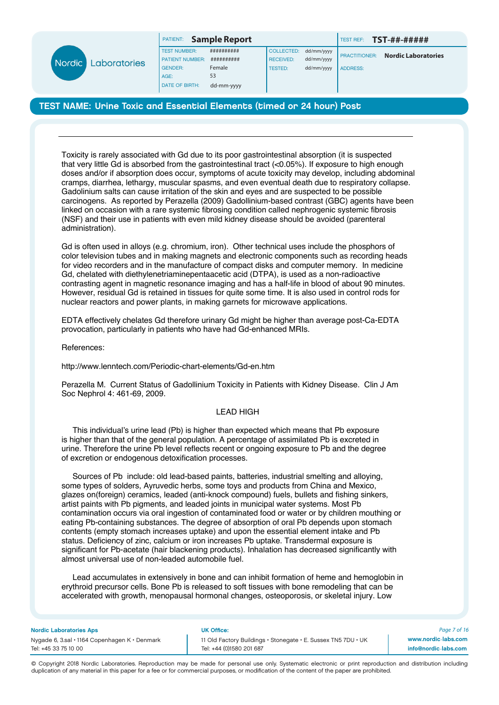|  | <b>Nordic Laboratories</b> |
|--|----------------------------|
|--|----------------------------|

| <b>PATIENT:</b> |  | <b>Sample Repor</b> |
|-----------------|--|---------------------|
|-----------------|--|---------------------|

| <b>PATIENT:</b> Sample Report |            |                       |            |
|-------------------------------|------------|-----------------------|------------|
| <b>TEST NUMBER:</b>           | ########## | COLLECTED: dd/mm/yyyy |            |
| <b>PATIENT NUMBER:</b>        | ########## | <b>RECEIVED:</b>      | dd/mm/yyyy |
| <b>GENDER:</b>                | Female     | <b>TESTED:</b>        | dd/mm/yyyy |
| AGE:                          | 53         |                       |            |

PATIENT: **Sample Report** TEST REF: **TST-##-#####**

PRACTITIONER: **Nordic Laboratories** ADDRESS:

# TEST NAME: Urine Toxic and Essential Elements (timed or 24 hour) Post

Toxicity is rarely associated with Gd due to its poor gastrointestinal absorption (it is suspected that very little Gd is absorbed from the gastrointestinal tract (<0.05%). If exposure to high enough doses and/or if absorption does occur, symptoms of acute toxicity may develop, including abdominal cramps, diarrhea, lethargy, muscular spasms, and even eventual death due to respiratory collapse. Gadolinium salts can cause irritation of the skin and eyes and are suspected to be possible carcinogens. As reported by Perazella (2009) Gadollinium-based contrast (GBC) agents have been linked on occasion with a rare systemic fibrosing condition called nephrogenic systemic fibrosis (NSF) and their use in patients with even mild kidney disease should be avoided (parenteral administration).

Gd is often used in alloys (e.g. chromium, iron). Other technical uses include the phosphors of color television tubes and in making magnets and electronic components such as recording heads for video recorders and in the manufacture of compact disks and computer memory. In medicine Gd, chelated with diethylenetriaminepentaacetic acid (DTPA), is used as a non-radioactive contrasting agent in magnetic resonance imaging and has a half-life in blood of about 90 minutes. However, residual Gd is retained in tissues for quite some time. It is also used in control rods for nuclear reactors and power plants, in making garnets for microwave applications.

EDTA effectively chelates Gd therefore urinary Gd might be higher than average post-Ca-EDTA provocation, particularly in patients who have had Gd-enhanced MRIs.

References:

http://www.lenntech.com/Periodic-chart-elements/Gd-en.htm

Perazella M. Current Status of Gadollinium Toxicity in Patients with Kidney Disease. Clin J Am Soc Nephrol 4: 461-69, 2009.

# LEAD HIGH

 This individual's urine lead (Pb) is higher than expected which means that Pb exposure is higher than that of the general population. A percentage of assimilated Pb is excreted in urine. Therefore the urine Pb level reflects recent or ongoing exposure to Pb and the degree of excretion or endogenous detoxification processes.

 Sources of Pb include: old lead-based paints, batteries, industrial smelting and alloying, some types of solders, Ayruvedic herbs, some toys and products from China and Mexico, glazes on(foreign) ceramics, leaded (anti-knock compound) fuels, bullets and fishing sinkers, artist paints with Pb pigments, and leaded joints in municipal water systems. Most Pb contamination occurs via oral ingestion of contaminated food or water or by children mouthing or eating Pb-containing substances. The degree of absorption of oral Pb depends upon stomach contents (empty stomach increases uptake) and upon the essential element intake and Pb status. Deficiency of zinc, calcium or iron increases Pb uptake. Transdermal exposure is significant for Pb-acetate (hair blackening products). Inhalation has decreased significantly with almost universal use of non-leaded automobile fuel.

 Lead accumulates in extensively in bone and can inhibit formation of heme and hemoglobin in erythroid precursor cells. Bone Pb is released to soft tissues with bone remodeling that can be accelerated with growth, menopausal hormonal changes, osteoporosis, or skeletal injury. Low

#### Nordic Laboratories Aps UK Office:

Nygade 6, 3.sal • 1164 Copenhagen K • Denmark 11 Old Factory Buildings • Stonegate • E. Sussex TN5 7DU • UK Tel: +45 33 75 10 00 Tel: +44 (0)1580 201 687

*Page 7 of 16* www.nordic-labs.com info@nordic-labs.com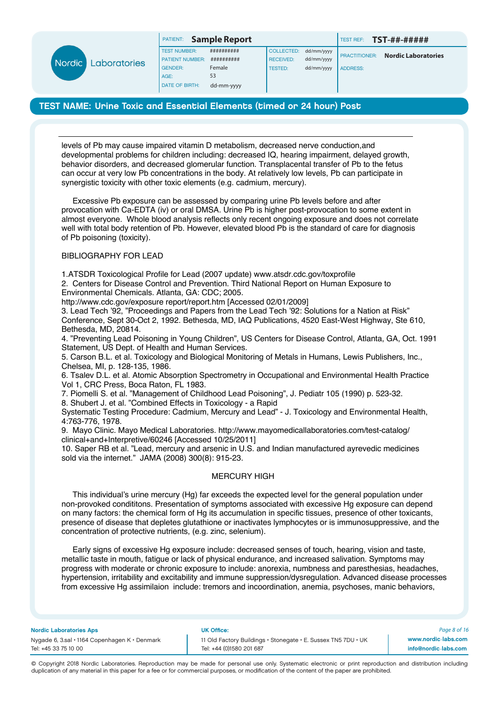

| <b>PATIENT:</b> | <b>Sample Report</b> |  |  |
|-----------------|----------------------|--|--|
|-----------------|----------------------|--|--|

TEST NUMBER:  $\overline{$   $\overline{$   $\overline{$   $\overline{}}$   $\overline{$   $\overline{}}$   $\overline{$   $\overline{}}$   $\overline{$   $\overline{}}$   $\overline{$   $\overline{}}$   $\overline{ }$   $\overline{ }$   $\overline{ }$   $\overline{ }$   $\overline{ }$   $\overline{ }$   $\overline{ }$   $\overline{ }$   $\overline{ }$   $\overline{ }$   $\overline{ }$   $\overline{ }$   $\overline{ }$   $\overline{ }$   $\overline{ }$ PATIENT NUMBER: ########### GENDER: Female AGE: 53 DATE OF BIRTH: dd-mm-yyyy

| <b>COLLECTED:</b> | dd/mm/yyyy |
|-------------------|------------|
| <b>RECEIVED:</b>  | dd/mm/yyyy |
| <b>TESTED:</b>    | dd/mm/yyyy |
|                   |            |

PATIENT: **Sample Report** TEST REF: **TST-##-#####**

PRACTITIONER: **Nordic Laboratories** ADDRESS:

# TEST NAME: Urine Toxic and Essential Elements (timed or 24 hour) Post

levels of Pb may cause impaired vitamin D metabolism, decreased nerve conduction,and developmental problems for children including: decreased IQ, hearing impairment, delayed growth, behavior disorders, and decreased glomerular function. Transplacental transfer of Pb to the fetus can occur at very low Pb concentrations in the body. At relatively low levels, Pb can participate in synergistic toxicity with other toxic elements (e.g. cadmium, mercury).

 Excessive Pb exposure can be assessed by comparing urine Pb levels before and after provocation with Ca-EDTA (iv) or oral DMSA. Urine Pb is higher post-provocation to some extent in almost everyone. Whole blood analysis reflects only recent ongoing exposure and does not correlate well with total body retention of Pb. However, elevated blood Pb is the standard of care for diagnosis of Pb poisoning (toxicity).

# BIBLIOGRAPHY FOR LEAD

1.ATSDR Toxicological Profile for Lead (2007 update) www.atsdr.cdc.gov/toxprofile

2. Centers for Disease Control and Prevention. Third National Report on Human Exposure to Environmental Chemicals. Atlanta, GA: CDC; 2005.

http://www.cdc.gov/exposure report/report.htm [Accessed 02/01/2009]

3. Lead Tech '92, "Proceedings and Papers from the Lead Tech '92: Solutions for a Nation at Risk" Conference, Sept 30-Oct 2, 1992. Bethesda, MD, IAQ Publications, 4520 East-West Highway, Ste 610, Bethesda, MD, 20814.

4. "Preventing Lead Poisoning in Young Children", US Centers for Disease Control, Atlanta, GA, Oct. 1991 Statement, US Dept. of Health and Human Services.

5. Carson B.L. et al. Toxicology and Biological Monitoring of Metals in Humans, Lewis Publishers, Inc., Chelsea, MI, p. 128-135, 1986.

6. Tsalev D.L. et al. Atomic Absorption Spectrometry in Occupational and Environmental Health Practice Vol 1, CRC Press, Boca Raton, FL 1983.

7. Piomelli S. et al. "Management of Childhood Lead Poisoning", J. Pediatr 105 (1990) p. 523-32.

8. Shubert J. et al. "Combined Effects in Toxicology - a Rapid

Systematic Testing Procedure: Cadmium, Mercury and Lead" - J. Toxicology and Environmental Health, 4:763-776, 1978.

9. Mayo Clinic. Mayo Medical Laboratories. http://www.mayomedicallaboratories.com/test-catalog/ clinical+and+Interpretive/60246 [Accessed 10/25/2011]

10. Saper RB et al. "Lead, mercury and arsenic in U.S. and Indian manufactured ayrevedic medicines sold via the internet." JAMA (2008) 300(8): 915-23.

# MERCURY HIGH

 This individual's urine mercury (Hg) far exceeds the expected level for the general population under non-provoked condititons. Presentation of symptoms associated with excessive Hg exposure can depend on many factors: the chemical form of Hg its accumulation in specific tissues, presence of other toxicants, presence of disease that depletes glutathione or inactivates lymphocytes or is immunosuppressive, and the concentration of protective nutrients, (e.g. zinc, selenium).

 Early signs of excessive Hg exposure include: decreased senses of touch, hearing, vision and taste, metallic taste in mouth, fatigue or lack of physical endurance, and increased salivation. Symptoms may progress with moderate or chronic exposure to include: anorexia, numbness and paresthesias, headaches, hypertension, irritability and excitability and immune suppression/dysregulation. Advanced disease processes from excessive Hg assimilaion include: tremors and incoordination, anemia, psychoses, manic behaviors,

Nordic Laboratories Aps UK Office:

Nygade 6, 3.sal • 1164 Copenhagen K • Denmark 11 Old Factory Buildings • Stonegate • E. Sussex TN5 7DU • UK Tel: +45 33 75 10 00 Tel: +44 (0)1580 201 687

*Page 8 of 16* www.nordic-labs.com info@nordic-labs.com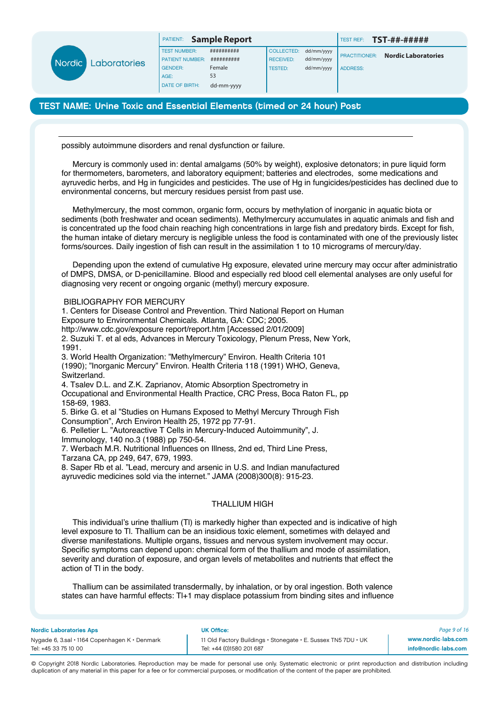

| <b>COLLECTED:</b> | dd/mm/yyy |
|-------------------|-----------|
| <b>RECEIVED:</b>  | dd/mm/yyy |
| <b>TESTED:</b>    | dd/mm/yyy |
|                   |           |

# TEST NAME: Urine Toxic and Essential Elements (timed or 24 hour) Post

possibly autoimmune disorders and renal dysfunction or failure.

 Mercury is commonly used in: dental amalgams (50% by weight), explosive detonators; in pure liquid form for thermometers, barometers, and laboratory equipment; batteries and electrodes, some medications and ayruvedic herbs, and Hg in fungicides and pesticides. The use of Hg in fungicides/pesticides has declined due to environmental concerns, but mercury residues persist from past use.

 Methylmercury, the most common, organic form, occurs by methylation of inorganic in aquatic biota or sediments (both freshwater and ocean sediments). Methylmercury accumulates in aquatic animals and fish and is concentrated up the food chain reaching high concentrations in large fish and predatory birds. Except for fish, the human intake of dietary mercury is negligible unless the food is contaminated with one of the previously listed forms/sources. Daily ingestion of fish can result in the assimilation 1 to 10 micrograms of mercury/day.

Depending upon the extend of cumulative Hg exposure, elevated urine mercury may occur after administration of DMPS, DMSA, or D-penicillamine. Blood and especially red blood cell elemental analyses are only useful for diagnosing very recent or ongoing organic (methyl) mercury exposure.

### BIBLIOGRAPHY FOR MERCURY

1. Centers for Disease Control and Prevention. Third National Report on Human Exposure to Environmental Chemicals. Atlanta, GA: CDC; 2005. http://www.cdc.gov/exposure report/report.htm [Accessed 2/01/2009] 2. Suzuki T. et al eds, Advances in Mercury Toxicology, Plenum Press, New York, 1991. 3. World Health Organization: "Methylmercury" Environ. Health Criteria 101 (1990); "Inorganic Mercury" Environ. Health Criteria 118 (1991) WHO, Geneva, **Switzerland** 4. Tsalev D.L. and Z.K. Zaprianov, Atomic Absorption Spectrometry in Occupational and Environmental Health Practice, CRC Press, Boca Raton FL, pp 158-69, 1983. 5. Birke G. et al "Studies on Humans Exposed to Methyl Mercury Through Fish Consumption", Arch Environ Health 25, 1972 pp 77-91. 6. Pelletier L. "Autoreactive T Cells in Mercury-Induced Autoimmunity", J. Immunology, 140 no.3 (1988) pp 750-54.

7. Werbach M.R. Nutritional Influences on Illness, 2nd ed, Third Line Press,

Tarzana CA, pp 249, 647, 679, 1993.

8. Saper Rb et al. "Lead, mercury and arsenic in U.S. and Indian manufactured ayruvedic medicines sold via the internet." JAMA (2008)300(8): 915-23.

# THALLIUM HIGH

 This individual's urine thallium (Tl) is markedly higher than expected and is indicative of high level exposure to Tl. Thallium can be an insidious toxic element, sometimes with delayed and diverse manifestations. Multiple organs, tissues and nervous system involvement may occur. Specific symptoms can depend upon: chemical form of the thallium and mode of assimilation, severity and duration of exposure, and organ levels of metabolites and nutrients that effect the action of Tl in the body.

 Thallium can be assimilated transdermally, by inhalation, or by oral ingestion. Both valence states can have harmful effects: Tl+1 may displace potassium from binding sites and influence

#### Nordic Laboratories Aps UK Office:

Nygade 6, 3.sal • 1164 Copenhagen K • Denmark 11 Old Factory Buildings • Stonegate • E. Sussex TN5 7DU • UK Tel: +45 33 75 10 00 Tel: +44 (0)1580 201 687

*Page 9 of 16* www.nordic-labs.com info@nordic-labs.com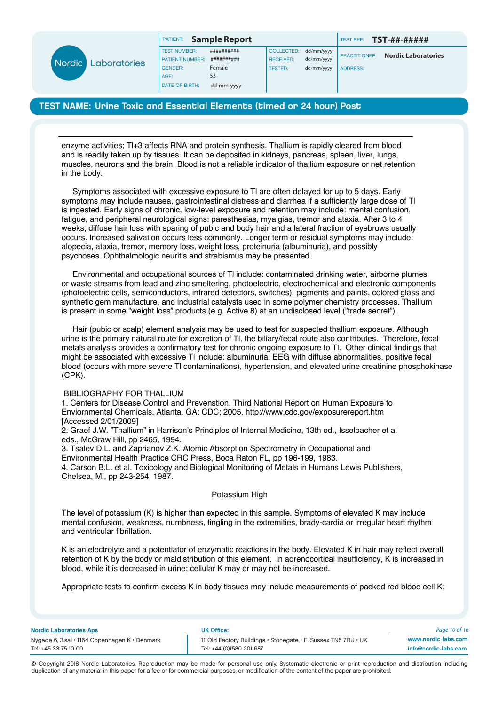

| <b>ATIENT:</b> | <b>Sample Report</b> |  |  |  |
|----------------|----------------------|--|--|--|
|----------------|----------------------|--|--|--|

TEST NUMBER:  $\overline{$  ########### PATIENT NUMBER: ########## GENDER: Female AGE: 53 DATE OF BIRTH: dd-mm-yyyy

| <b>COLLECTED:</b> | dd/mm/yyyy |
|-------------------|------------|
| <b>RECEIVED:</b>  | dd/mm/yyyy |
| <b>TESTED:</b>    | dd/mm/yyyy |
|                   |            |

PATIENT: **Sample Report** TEST REF: **TST-##-#####**

PRACTITIONER: **Nordic Laboratories** ADDRESS:

# TEST NAME: Urine Toxic and Essential Elements (timed or 24 hour) Post

enzyme activities; Tl+3 affects RNA and protein synthesis. Thallium is rapidly cleared from blood and is readily taken up by tissues. It can be deposited in kidneys, pancreas, spleen, liver, lungs, muscles, neurons and the brain. Blood is not a reliable indicator of thallium exposure or net retention in the body.

 Symptoms associated with excessive exposure to Tl are often delayed for up to 5 days. Early symptoms may include nausea, gastrointestinal distress and diarrhea if a sufficiently large dose of Tl is ingested. Early signs of chronic, low-level exposure and retention may include: mental confusion, fatigue, and peripheral neurological signs: paresthesias, myalgias, tremor and ataxia. After 3 to 4 weeks, diffuse hair loss with sparing of pubic and body hair and a lateral fraction of eyebrows usually occurs. Increased salivation occurs less commonly. Longer term or residual symptoms may include: alopecia, ataxia, tremor, memory loss, weight loss, proteinuria (albuminuria), and possibly psychoses. Ophthalmologic neuritis and strabismus may be presented.

 Environmental and occupational sources of Tl include: contaminated drinking water, airborne plumes or waste streams from lead and zinc smeltering, photoelectric, electrochemical and electronic components (photoelectric cells, semiconductors, infrared detectors, switches), pigments and paints, colored glass and synthetic gem manufacture, and industrial catalysts used in some polymer chemistry processes. Thallium is present in some "weight loss" products (e.g. Active 8) at an undisclosed level ("trade secret").

 Hair (pubic or scalp) element analysis may be used to test for suspected thallium exposure. Although urine is the primary natural route for excretion of Tl, the biliary/fecal route also contributes. Therefore, fecal metals analysis provides a confirmatory test for chronic ongoing exposure to Tl. Other clinical findings that might be associated with excessive Tl include: albuminuria, EEG with diffuse abnormalities, positive fecal blood (occurs with more severe Tl contaminations), hypertension, and elevated urine creatinine phosphokinase (CPK).

#### BIBLIOGRAPHY FOR THALLIUM

1. Centers for Disease Control and Prevenstion. Third National Report on Human Exposure to Enviornmental Chemicals. Atlanta, GA: CDC; 2005. http://www.cdc.gov/exposurereport.htm [Accessed 2/01/2009]

2. Graef J.W. "Thallium" in Harrison's Principles of Internal Medicine, 13th ed., Isselbacher et al eds., McGraw Hill, pp 2465, 1994.

3. Tsalev D.L. and Zaprianov Z.K. Atomic Absorption Spectrometry in Occupational and

Environmental Health Practice CRC Press, Boca Raton FL, pp 196-199, 1983.

4. Carson B.L. et al. Toxicology and Biological Monitoring of Metals in Humans Lewis Publishers, Chelsea, MI, pp 243-254, 1987.

#### Potassium High

The level of potassium (K) is higher than expected in this sample. Symptoms of elevated K may include mental confusion, weakness, numbness, tingling in the extremities, brady-cardia or irregular heart rhythm and ventricular fibrillation.

K is an electrolyte and a potentiator of enzymatic reactions in the body. Elevated K in hair may reflect overall retention of K by the body or maldistribution of this element. In adrenocortical insufficiency, K is increased in blood, while it is decreased in urine; cellular K may or may not be increased.

Appropriate tests to confirm excess K in body tissues may include measurements of packed red blood cell K;

Nordic Laboratories Aps UK Office:

Tel: +45 33 75 10 00 Tel: +44 (0)1580 201 687

Nygade 6, 3.sal • 1164 Copenhagen K • Denmark 11 Old Factory Buildings • Stonegate • E. Sussex TN5 7DU • UK

*Page 10 of 16* www.nordic-labs.com info@nordic-labs.com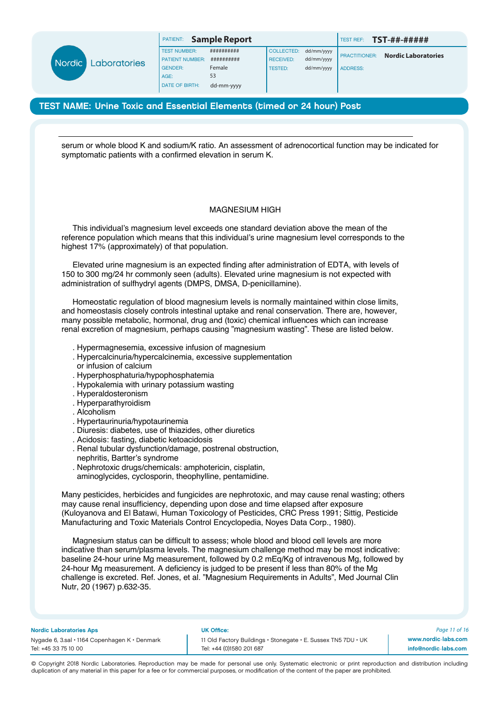|                          |                        | PATIENT:              | <b>Sample Report</b> |                   |                      | TEST REF:                  | <b>TST-##-#####</b> |
|--------------------------|------------------------|-----------------------|----------------------|-------------------|----------------------|----------------------------|---------------------|
|                          |                        | <b>TEST NUMBER:</b>   | ##########           | <b>COLLECTED:</b> | dd/mm/yyyy           |                            |                     |
| Nordic  <br>Laboratories | <b>PATIENT NUMBER:</b> | ##########            | <b>RECEIVED:</b>     | dd/mm/yyyy        | <b>PRACTITIONER:</b> | <b>Nordic Laboratories</b> |                     |
|                          | <b>GENDER:</b>         | Female                | <b>TESTED:</b>       | dd/mm/yyyy        | <b>ADDRESS:</b>      |                            |                     |
|                          |                        | AGE:                  | 53                   |                   |                      |                            |                     |
|                          |                        | <b>DATE OF BIRTH:</b> | dd-mm-yyyy           |                   |                      |                            |                     |

serum or whole blood K and sodium/K ratio. An assessment of adrenocortical function may be indicated for symptomatic patients with a confirmed elevation in serum K.

## MAGNESIUM HIGH

 This individual's magnesium level exceeds one standard deviation above the mean of the reference population which means that this individual's urine magnesium level corresponds to the highest 17% (approximately) of that population.

 Elevated urine magnesium is an expected finding after administration of EDTA, with levels of 150 to 300 mg/24 hr commonly seen (adults). Elevated urine magnesium is not expected with administration of sulfhydryl agents (DMPS, DMSA, D-penicillamine).

 Homeostatic regulation of blood magnesium levels is normally maintained within close limits, and homeostasis closely controls intestinal uptake and renal conservation. There are, however, many possible metabolic, hormonal, drug and (toxic) chemical influences which can increase renal excretion of magnesium, perhaps causing "magnesium wasting". These are listed below.

- . Hypermagnesemia, excessive infusion of magnesium
- . Hypercalcinuria/hypercalcinemia, excessive supplementation
- or infusion of calcium
- . Hyperphosphaturia/hypophosphatemia
- . Hypokalemia with urinary potassium wasting
- . Hyperaldosteronism
- . Hyperparathyroidism
- . Alcoholism
- . Hypertaurinuria/hypotaurinemia
- . Diuresis: diabetes, use of thiazides, other diuretics
- . Acidosis: fasting, diabetic ketoacidosis
- . Renal tubular dysfunction/damage, postrenal obstruction,
- nephritis, Bartter's syndrome
- . Nephrotoxic drugs/chemicals: amphotericin, cisplatin,
- aminoglycides, cyclosporin, theophylline, pentamidine.

Many pesticides, herbicides and fungicides are nephrotoxic, and may cause renal wasting; others may cause renal insufficiency, depending upon dose and time elapsed after exposure (Kuloyanova and El Batawi, Human Toxicology of Pesticides, CRC Press 1991; Sittig, Pesticide Manufacturing and Toxic Materials Control Encyclopedia, Noyes Data Corp., 1980).

 Magnesium status can be difficult to assess; whole blood and blood cell levels are more indicative than serum/plasma levels. The magnesium challenge method may be most indicative: baseline 24-hour urine Mg measurement, followed by 0.2 mEq/Kg of intravenous Mg, followed by 24-hour Mg measurement. A deficiency is judged to be present if less than 80% of the Mg challenge is excreted. Ref. Jones, et al. "Magnesium Requirements in Adults", Med Journal Clin Nutr, 20 (1967) p.632-35.

#### Nordic Laboratories Aps UK Office:

Nygade 6, 3.sal • 1164 Copenhagen K • Denmark 11 Old Factory Buildings • Stonegate • E. Sussex TN5 7DU • UK Tel: +45 33 75 10 00 Tel: +44 (0)1580 201 687

*Page 11 of 16* www.nordic-labs.com info@nordic-labs.com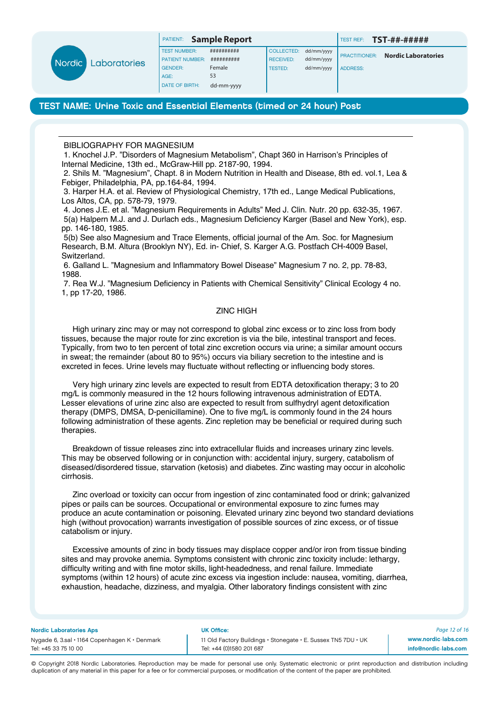

| PATIENT: |  | <b>Sample Report</b> |
|----------|--|----------------------|
|----------|--|----------------------|

TEST NAME: Urine Toxic and Essential Elements (timed or 24 hour) Post

BIBLIOGRAPHY FOR MAGNESIUM

1. Knochel J.P. "Disorders of Magnesium Metabolism", Chapt 360 in Harrison's Principles of Internal Medicine, 13th ed., McGraw-Hill pp. 2187-90, 1994.

2. Shils M. "Magnesium", Chapt. 8 in Modern Nutrition in Health and Disease, 8th ed. vol.1, Lea & Febiger, Philadelphia, PA, pp.164-84, 1994.

3. Harper H.A. et al. Review of Physiological Chemistry, 17th ed., Lange Medical Publications, Los Altos, CA, pp. 578-79, 1979.

4. Jones J.E. et al. "Magnesium Requirements in Adults" Med J. Clin. Nutr. 20 pp. 632-35, 1967. 5(a) Halpern M.J. and J. Durlach eds., Magnesium Deficiency Karger (Basel and New York), esp. pp. 146-180, 1985.

5(b) See also Magnesium and Trace Elements, official journal of the Am. Soc. for Magnesium Research, B.M. Altura (Brooklyn NY), Ed. in- Chief, S. Karger A.G. Postfach CH-4009 Basel, Switzerland.

6. Galland L. "Magnesium and Inflammatory Bowel Disease" Magnesium 7 no. 2, pp. 78-83, 1988.

7. Rea W.J. "Magnesium Deficiency in Patients with Chemical Sensitivity" Clinical Ecology 4 no. 1, pp 17-20, 1986.

### ZINC HIGH

 High urinary zinc may or may not correspond to global zinc excess or to zinc loss from body tissues, because the major route for zinc excretion is via the bile, intestinal transport and feces. Typically, from two to ten percent of total zinc excretion occurs via urine; a similar amount occurs in sweat; the remainder (about 80 to 95%) occurs via biliary secretion to the intestine and is excreted in feces. Urine levels may fluctuate without reflecting or influencing body stores.

 Very high urinary zinc levels are expected to result from EDTA detoxification therapy; 3 to 20 mg/L is commonly measured in the 12 hours following intravenous administration of EDTA. Lesser elevations of urine zinc also are expected to result from sulfhydryl agent detoxification therapy (DMPS, DMSA, D-penicillamine). One to five mg/L is commonly found in the 24 hours following administration of these agents. Zinc repletion may be beneficial or required during such therapies.

 Breakdown of tissue releases zinc into extracellular fluids and increases urinary zinc levels. This may be observed following or in conjunction with: accidental injury, surgery, catabolism of diseased/disordered tissue, starvation (ketosis) and diabetes. Zinc wasting may occur in alcoholic cirrhosis.

 Zinc overload or toxicity can occur from ingestion of zinc contaminated food or drink; galvanized pipes or pails can be sources. Occupational or environmental exposure to zinc fumes may produce an acute contamination or poisoning. Elevated urinary zinc beyond two standard deviations high (without provocation) warrants investigation of possible sources of zinc excess, or of tissue catabolism or injury.

 Excessive amounts of zinc in body tissues may displace copper and/or iron from tissue binding sites and may provoke anemia. Symptoms consistent with chronic zinc toxicity include: lethargy, difficulty writing and with fine motor skills, light-headedness, and renal failure. Immediate symptoms (within 12 hours) of acute zinc excess via ingestion include: nausea, vomiting, diarrhea, exhaustion, headache, dizziness, and myalgia. Other laboratory findings consistent with zinc

Nordic Laboratories Aps UK Office:

Tel: +45 33 75 10 00 Tel: +44 (0)1580 201 687

Nygade 6, 3.sal • 1164 Copenhagen K • Denmark 11 Old Factory Buildings • Stonegate • E. Sussex TN5 7DU • UK

*Page 12 of 16* www.nordic-labs.com info@nordic-labs.com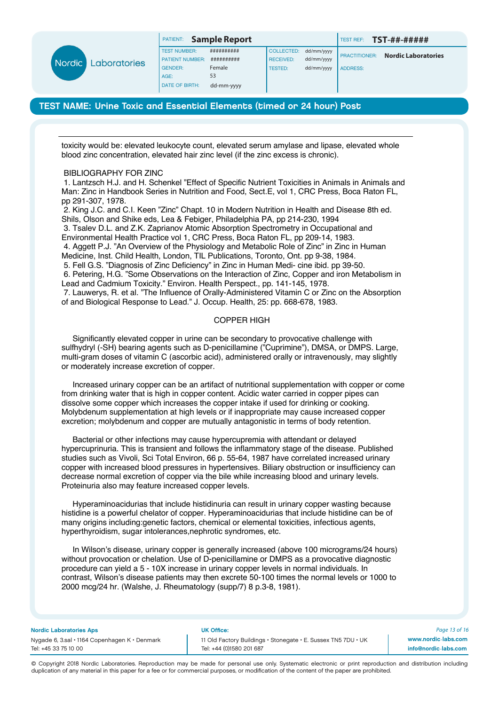

# TEST NAME: Urine Toxic and Essential Elements (timed or 24 hour) Post

toxicity would be: elevated leukocyte count, elevated serum amylase and lipase, elevated whole blood zinc concentration, elevated hair zinc level (if the zinc excess is chronic).

#### BIBLIOGRAPHY FOR ZINC

1. Lantzsch H.J. and H. Schenkel "Effect of Specific Nutrient Toxicities in Animals in Animals and Man: Zinc in Handbook Series in Nutrition and Food, Sect.E, vol 1, CRC Press, Boca Raton FL, pp 291-307, 1978.

2. King J.C. and C.I. Keen "Zinc" Chapt. 10 in Modern Nutrition in Health and Disease 8th ed. Shils, Olson and Shike eds, Lea & Febiger, Philadelphia PA, pp 214-230, 1994 3. Tsalev D.L. and Z.K. Zaprianov Atomic Absorption Spectrometry in Occupational and Environmental Health Practice vol 1, CRC Press, Boca Raton FL, pp 209-14, 1983. 4. Aggett P.J. "An Overview of the Physiology and Metabolic Role of Zinc" in Zinc in Human Medicine, Inst. Child Health, London, TIL Publications, Toronto, Ont. pp 9-38, 1984. 5. Fell G.S. "Diagnosis of Zinc Deficiency" in Zinc in Human Medi- cine ibid. pp 39-50. 6. Petering, H.G. "Some Observations on the Interaction of Zinc, Copper and iron Metabolism in Lead and Cadmium Toxicity." Environ. Health Perspect., pp. 141-145, 1978. 7. Lauwerys, R. et al. "The Influence of Orally-Administered Vitamin C or Zinc on the Absorption of and Biological Response to Lead." J. Occup. Health, 25: pp. 668-678, 1983.

#### COPPER HIGH

 Significantly elevated copper in urine can be secondary to provocative challenge with sulfhydryl (-SH) bearing agents such as D-penicillamine ("Cuprimine"), DMSA, or DMPS. Large, multi-gram doses of vitamin C (ascorbic acid), administered orally or intravenously, may slightly or moderately increase excretion of copper.

 Increased urinary copper can be an artifact of nutritional supplementation with copper or come from drinking water that is high in copper content. Acidic water carried in copper pipes can dissolve some copper which increases the copper intake if used for drinking or cooking. Molybdenum supplementation at high levels or if inappropriate may cause increased copper excretion; molybdenum and copper are mutually antagonistic in terms of body retention.

 Bacterial or other infections may cause hypercupremia with attendant or delayed hypercuprinuria. This is transient and follows the inflammatory stage of the disease. Published studies such as Vivoli, Sci Total Environ, 66 p. 55-64, 1987 have correlated increased urinary copper with increased blood pressures in hypertensives. Biliary obstruction or insufficiency can decrease normal excretion of copper via the bile while increasing blood and urinary levels. Proteinuria also may feature increased copper levels.

 Hyperaminoacidurias that include histidinuria can result in urinary copper wasting because histidine is a powerful chelator of copper. Hyperaminoacidurias that include histidine can be of many origins including:genetic factors, chemical or elemental toxicities, infectious agents, hyperthyroidism, sugar intolerances,nephrotic syndromes, etc.

 In Wilson's disease, urinary copper is generally increased (above 100 micrograms/24 hours) without provocation or chelation. Use of D-penicillamine or DMPS as a provocative diagnostic procedure can yield a 5 - 10X increase in urinary copper levels in normal individuals. In contrast, Wilson's disease patients may then excrete 50-100 times the normal levels or 1000 to 2000 mcg/24 hr. (Walshe, J. Rheumatology (supp/7) 8 p.3-8, 1981).

#### Nordic Laboratories Aps UK Office:

Tel: +45 33 75 10 00 Tel: +44 (0)1580 201 687

Nygade 6, 3.sal • 1164 Copenhagen K • Denmark 11 Old Factory Buildings • Stonegate • E. Sussex TN5 7DU • UK

*Page 13 of 16* www.nordic-labs.com info@nordic-labs.com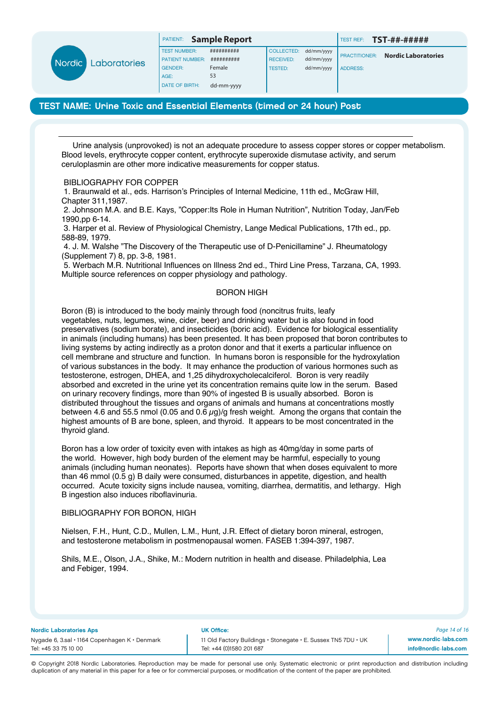|                                 |                        |            |                      |            | TEST REF:       | <b>TST-##-#####</b>        |
|---------------------------------|------------------------|------------|----------------------|------------|-----------------|----------------------------|
|                                 | <b>TEST NUMBER:</b>    | ########## | COLLECTED:           | dd/mm/yyyy |                 |                            |
| Nordic  <br><b>Laboratories</b> | <b>PATIENT NUMBER:</b> | ########## | <b>RECEIVED:</b>     | dd/mm/yyyy |                 | <b>Nordic Laboratories</b> |
|                                 | <b>GENDER:</b>         | Female     | TESTED:              | dd/mm/yyyy | <b>ADDRESS:</b> |                            |
|                                 | AGE:                   | 53         |                      |            |                 |                            |
|                                 | <b>DATE OF BIRTH:</b>  | dd-mm-yyyy |                      |            |                 |                            |
|                                 |                        | PATIENT:   | <b>Sample Report</b> |            |                 | <b>I PRACTITIONER:</b>     |

 Urine analysis (unprovoked) is not an adequate procedure to assess copper stores or copper metabolism. Blood levels, erythrocyte copper content, erythrocyte superoxide dismutase activity, and serum ceruloplasmin are other more indicative measurements for copper status.

### BIBLIOGRAPHY FOR COPPER

1. Braunwald et al., eds. Harrison's Principles of Internal Medicine, 11th ed., McGraw Hill, Chapter 311,1987.

2. Johnson M.A. and B.E. Kays, "Copper:Its Role in Human Nutrition", Nutrition Today, Jan/Feb 1990,pp 6-14.

3. Harper et al. Review of Physiological Chemistry, Lange Medical Publications, 17th ed., pp. 588-89, 1979.

4. J. M. Walshe "The Discovery of the Therapeutic use of D-Penicillamine" J. Rheumatology (Supplement 7) 8, pp. 3-8, 1981.

5. Werbach M.R. Nutritional Influences on Illness 2nd ed., Third Line Press, Tarzana, CA, 1993. Multiple source references on copper physiology and pathology.

#### BORON HIGH

Boron (B) is introduced to the body mainly through food (noncitrus fruits, leafy vegetables, nuts, legumes, wine, cider, beer) and drinking water but is also found in food preservatives (sodium borate), and insecticides (boric acid). Evidence for biological essentiality in animals (including humans) has been presented. It has been proposed that boron contributes to living systems by acting indirectly as a proton donor and that it exerts a particular influence on cell membrane and structure and function. In humans boron is responsible for the hydroxylation of various substances in the body. It may enhance the production of various hormones such as testosterone, estrogen, DHEA, and 1,25 dihydroxycholecalciferol. Boron is very readily absorbed and excreted in the urine yet its concentration remains quite low in the serum. Based on urinary recovery findings, more than 90% of ingested B is usually absorbed. Boron is distributed throughout the tissues and organs of animals and humans at concentrations mostly between 4.6 and 55.5 nmol (0.05 and 0.6  $\mu$ g)/g fresh weight. Among the organs that contain the highest amounts of B are bone, spleen, and thyroid. It appears to be most concentrated in the thyroid gland.

Boron has a low order of toxicity even with intakes as high as 40mg/day in some parts of the world. However, high body burden of the element may be harmful, especially to young animals (including human neonates). Reports have shown that when doses equivalent to more than 46 mmol (0.5 g) B daily were consumed, disturbances in appetite, digestion, and health occurred. Acute toxicity signs include nausea, vomiting, diarrhea, dermatitis, and lethargy. High B ingestion also induces riboflavinuria.

### BIBLIOGRAPHY FOR BORON, HIGH

Nielsen, F.H., Hunt, C.D., Mullen, L.M., Hunt, J.R. Effect of dietary boron mineral, estrogen, and testosterone metabolism in postmenopausal women. FASEB 1:394-397, 1987.

Shils, M.E., Olson, J.A., Shike, M.: Modern nutrition in health and disease. Philadelphia, Lea and Febiger, 1994.

#### Nordic Laboratories Aps UK Office:

Tel: +45 33 75 10 00 Tel: +44 (0)1580 201 687

Nygade 6, 3.sal • 1164 Copenhagen K • Denmark 11 Old Factory Buildings • Stonegate • E. Sussex TN5 7DU • UK

*Page 14 of 16* www.nordic-labs.com info@nordic-labs.com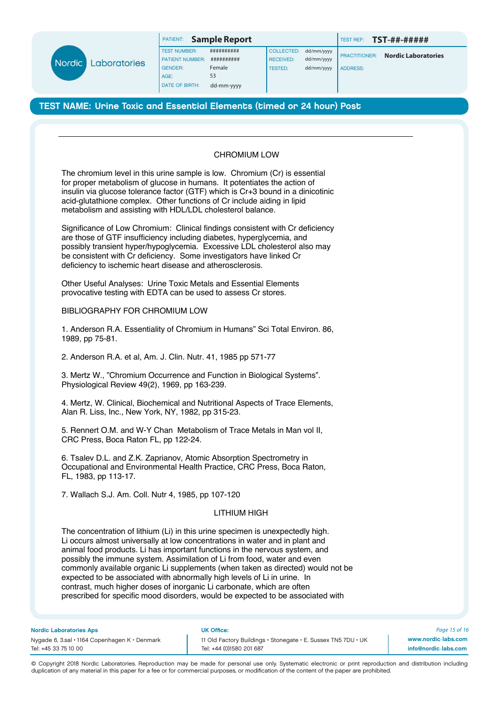

PATIENT: **Sample Report TEST REF: TST-##-#####** 

PRACTITIONER: **Nordic Laboratories** ADDRESS:

TEST NAME: Urine Toxic and Essential Elements (timed or 24 hour) Post

# CHROMIUM LOW

The chromium level in this urine sample is low. Chromium (Cr) is essential for proper metabolism of glucose in humans. It potentiates the action of insulin via glucose tolerance factor (GTF) which is Cr+3 bound in a dinicotinic acid-glutathione complex. Other functions of Cr include aiding in lipid metabolism and assisting with HDL/LDL cholesterol balance.

Significance of Low Chromium: Clinical findings consistent with Cr deficiency are those of GTF insufficiency including diabetes, hyperglycemia, and possibly transient hyper/hypoglycemia. Excessive LDL cholesterol also may be consistent with Cr deficiency. Some investigators have linked Cr deficiency to ischemic heart disease and atherosclerosis.

Other Useful Analyses: Urine Toxic Metals and Essential Elements provocative testing with EDTA can be used to assess Cr stores.

# BIBLIOGRAPHY FOR CHROMIUM LOW

1. Anderson R.A. Essentiality of Chromium in Humans" Sci Total Environ. 86, 1989, pp 75-81.

2. Anderson R.A. et al, Am. J. Clin. Nutr. 41, 1985 pp 571-77

3. Mertz W., "Chromium Occurrence and Function in Biological Systems". Physiological Review 49(2), 1969, pp 163-239.

4. Mertz, W. Clinical, Biochemical and Nutritional Aspects of Trace Elements, Alan R. Liss, Inc., New York, NY, 1982, pp 315-23.

5. Rennert O.M. and W-Y Chan Metabolism of Trace Metals in Man vol II, CRC Press, Boca Raton FL, pp 122-24.

6. Tsalev D.L. and Z.K. Zaprianov, Atomic Absorption Spectrometry in Occupational and Environmental Health Practice, CRC Press, Boca Raton, FL, 1983, pp 113-17.

7. Wallach S.J. Am. Coll. Nutr 4, 1985, pp 107-120

# LITHIUM HIGH

The concentration of lithium (Li) in this urine specimen is unexpectedly high. Li occurs almost universally at low concentrations in water and in plant and animal food products. Li has important functions in the nervous system, and possibly the immune system. Assimilation of Li from food, water and even commonly available organic Li supplements (when taken as directed) would not be expected to be associated with abnormally high levels of Li in urine. In contrast, much higher doses of inorganic Li carbonate, which are often prescribed for specific mood disorders, would be expected to be associated with

Nordic Laboratories Aps UK Office:

Tel: +45 33 75 10 00 Tel: +44 (0)1580 201 687

Nygade 6, 3.sal • 1164 Copenhagen K • Denmark 11 Old Factory Buildings • Stonegate • E. Sussex TN5 7DU • UK

*Page 15 of 16* www.nordic-labs.com info@nordic-labs.com